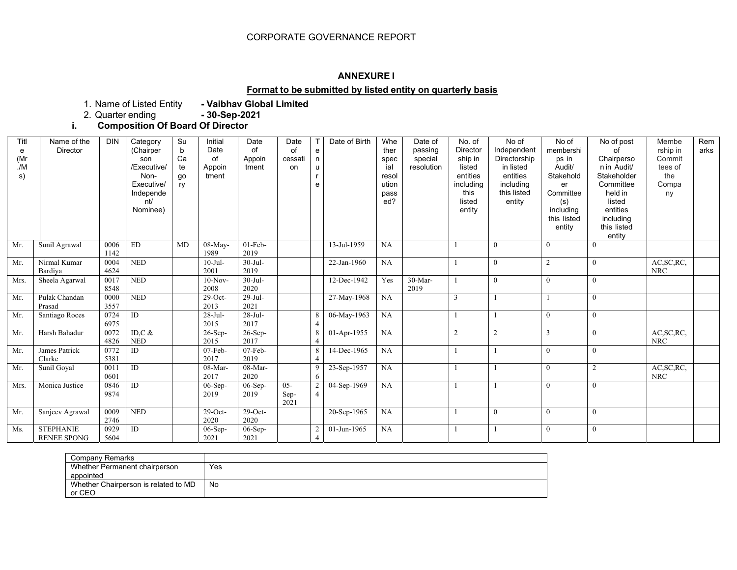# CORPORATE GOVERNANCE REPORT

#### **ANNEXURE I**

# **Format to be submitted by listed entity on quarterly basis**

1. Name of Listed Entity **- Vaibhav Global Limited**

2. Quarter ending **- 30-Sep-2021**

**i.Composition Of Board Of Director**

| Titl<br>e<br>(Mr<br>/M<br>s) | Name of the<br><b>Director</b>         | <b>DIN</b>   | Category<br>(Chairper<br>son<br>/Executive/<br>Non-<br>Executive/<br>Independe<br>nt/<br>Nominee) | Su<br>b<br>Ca<br>te<br>go<br>ry | Initial<br>Date<br>of<br>Appoin<br>tment | Date<br>of<br>Appoin<br>tment | Date<br>of<br>cessati<br>on | T<br>e<br>n<br>u<br>r<br>e | Date of Birth | Whe<br>ther<br>spec<br>ial<br>resol<br>ution<br>pass<br>ed? | Date of<br>passing<br>special<br>resolution | No. of<br>Director<br>ship in<br>listed<br>entities<br>including<br>this<br>listed<br>entity | No of<br>Independent<br>Directorship<br>in listed<br>entities<br>including<br>this listed<br>entity | No of<br>membershi<br>ps in<br>Audit/<br>Stakehold<br>er<br>Committee<br>(s)<br>including<br>this listed<br>entity | No of post<br>Ωf<br>Chairperso<br>n in Audit/<br>Stakeholder<br>Committee<br>held in<br>listed<br>entities<br>including<br>this listed<br>entity | Membe<br>rship in<br>Commit<br>tees of<br>the<br>Compa<br>ny | Rem<br>arks |
|------------------------------|----------------------------------------|--------------|---------------------------------------------------------------------------------------------------|---------------------------------|------------------------------------------|-------------------------------|-----------------------------|----------------------------|---------------|-------------------------------------------------------------|---------------------------------------------|----------------------------------------------------------------------------------------------|-----------------------------------------------------------------------------------------------------|--------------------------------------------------------------------------------------------------------------------|--------------------------------------------------------------------------------------------------------------------------------------------------|--------------------------------------------------------------|-------------|
| Mr.                          | Sunil Agrawal                          | 0006<br>1142 | ${\rm ED}$                                                                                        | MD                              | 08-May-<br>1989                          | $01$ -Feb-<br>2019            |                             |                            | 13-Jul-1959   | NA                                                          |                                             |                                                                                              | $\theta$                                                                                            | $\theta$                                                                                                           | $\overline{0}$                                                                                                                                   |                                                              |             |
| Mr.                          | Nirmal Kumar<br>Bardiya                | 0004<br>4624 | <b>NED</b>                                                                                        |                                 | $10-Jul-$<br>2001                        | $30-Jul-$<br>2019             |                             |                            | 22-Jan-1960   | NA                                                          |                                             |                                                                                              | $\mathbf{0}$                                                                                        | 2                                                                                                                  | $\overline{0}$                                                                                                                                   | AC, SC, RC,<br><b>NRC</b>                                    |             |
| Mrs.                         | Sheela Agarwal                         | 0017<br>8548 | <b>NED</b>                                                                                        |                                 | $10-Nov-$<br>2008                        | $30-Jul-$<br>2020             |                             |                            | 12-Dec-1942   | Yes                                                         | $30-Mar-$<br>2019                           |                                                                                              | $\mathbf{0}$                                                                                        | $\mathbf{0}$                                                                                                       | $\mathbf{0}$                                                                                                                                     |                                                              |             |
| Mr.                          | Pulak Chandan<br>Prasad                | 0000<br>3557 | <b>NED</b>                                                                                        |                                 | $29$ -Oct-<br>2013                       | 29-Jul-<br>2021               |                             |                            | 27-May-1968   | NA                                                          |                                             |                                                                                              |                                                                                                     |                                                                                                                    | $\theta$                                                                                                                                         |                                                              |             |
| Mr.                          | Santiago Roces                         | 0724<br>6975 | $\overline{ID}$                                                                                   |                                 | $28-Jul-$<br>2015                        | $28-Jul-$<br>2017             |                             | 8                          | 06-May-1963   | NA                                                          |                                             |                                                                                              |                                                                                                     | $\theta$                                                                                                           | $\mathbf{0}$                                                                                                                                     |                                                              |             |
| Mr.                          | Harsh Bahadur                          | 0072<br>4826 | ID, $C$ &<br><b>NED</b>                                                                           |                                 | $26-Sep-$<br>2015                        | $26$ -Sep-<br>2017            |                             | 8<br>$\overline{4}$        | 01-Apr-1955   | NA                                                          |                                             | $\overline{2}$                                                                               | $\overline{2}$                                                                                      | 3                                                                                                                  | $\mathbf{0}$                                                                                                                                     | AC, SC, RC,<br><b>NRC</b>                                    |             |
| Mr.                          | James Patrick<br>Clarke                | 0772<br>5381 | $\overline{ID}$                                                                                   |                                 | $07$ -Feb-<br>2017                       | $07$ -Feb-<br>2019            |                             | 8<br>$\overline{4}$        | 14-Dec-1965   | NA                                                          |                                             |                                                                                              |                                                                                                     | $\theta$                                                                                                           | $\overline{0}$                                                                                                                                   |                                                              |             |
| Mr.                          | Sunil Goyal                            | 0011<br>0601 | ID                                                                                                |                                 | $08-Mar-$<br>2017                        | $08-Mar-$<br>2020             |                             | 9<br>6                     | 23-Sep-1957   | NA                                                          |                                             |                                                                                              |                                                                                                     | $\theta$                                                                                                           | $\overline{2}$                                                                                                                                   | AC, SC, RC,<br><b>NRC</b>                                    |             |
| Mrs.                         | Monica Justice                         | 0846<br>9874 | ID                                                                                                |                                 | $06-Sep-$<br>2019                        | $06-Sep-$<br>2019             | $05 -$<br>Sep-<br>2021      | $\overline{c}$             | 04-Sep-1969   | NA                                                          |                                             |                                                                                              |                                                                                                     | $\theta$                                                                                                           | $\theta$                                                                                                                                         |                                                              |             |
| Mr.                          | Sanjeev Agrawal                        | 0009<br>2746 | <b>NED</b>                                                                                        |                                 | $29$ -Oct-<br>2020                       | $29$ -Oct-<br>2020            |                             |                            | 20-Sep-1965   | NA                                                          |                                             |                                                                                              | $\theta$                                                                                            | $\theta$                                                                                                           | $\theta$                                                                                                                                         |                                                              |             |
| Ms.                          | <b>STEPHANIE</b><br><b>RENEE SPONG</b> | 0929<br>5604 | ID                                                                                                |                                 | $06-Sep-$<br>2021                        | $06-Sep-$<br>2021             |                             | 2<br>$\overline{4}$        | 01-Jun-1965   | NA                                                          |                                             |                                                                                              |                                                                                                     | $\mathbf{0}$                                                                                                       | $\mathbf{0}$                                                                                                                                     |                                                              |             |

| Company Remarks                      |     |
|--------------------------------------|-----|
| Whether Permanent chairperson        | Yes |
| appointed                            |     |
| Whether Chairperson is related to MD | No  |
| or CEO                               |     |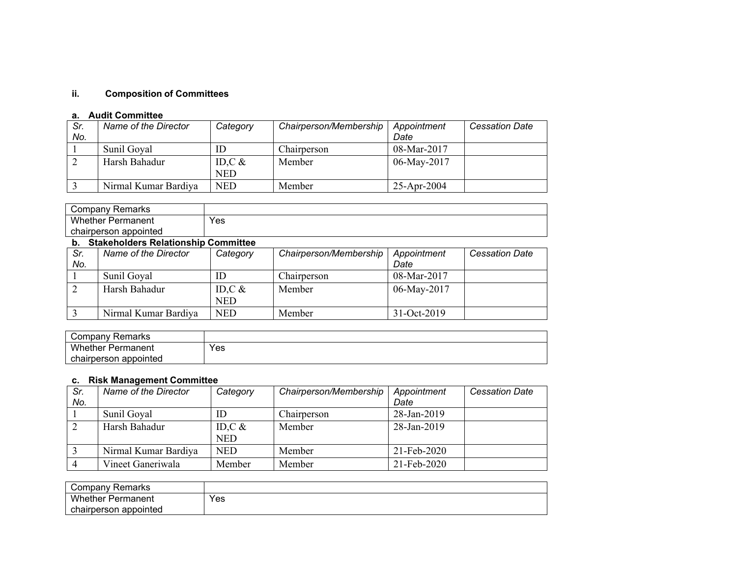# **ii. Composition of Committees**

## **a. Audit Committee**

| Sr.<br>No. | Name of the Director | Category   | Chairperson/Membership | Appointment<br>Date | <b>Cessation Date</b> |
|------------|----------------------|------------|------------------------|---------------------|-----------------------|
|            | Sunil Goyal          | ID         | Chairperson            | 08-Mar-2017         |                       |
|            | Harsh Bahadur        | ID,C $&$   | Member                 | 06-May-2017         |                       |
|            |                      | <b>NED</b> |                        |                     |                       |
|            | Nirmal Kumar Bardiya | <b>NED</b> | Member                 | $25$ -Apr-2004      |                       |

| ∵ompany<br>Remarks                                                                                                                                                                                                                                                                           |     |  |
|----------------------------------------------------------------------------------------------------------------------------------------------------------------------------------------------------------------------------------------------------------------------------------------------|-----|--|
| <b>Whether Permanent</b>                                                                                                                                                                                                                                                                     | Yes |  |
| າ appointed<br>chairperson                                                                                                                                                                                                                                                                   |     |  |
| $\mathbf{a}$ and the state of $\mathbf{a}$ and $\mathbf{a}$ and $\mathbf{a}$ and $\mathbf{a}$ and $\mathbf{a}$ and $\mathbf{a}$ and $\mathbf{a}$ and $\mathbf{a}$ and $\mathbf{a}$ and $\mathbf{a}$ and $\mathbf{a}$ and $\mathbf{a}$ and $\mathbf{a}$ and $\mathbf{a}$ and $\mathbf{a}$ and |     |  |

#### **b. Stakeholders Relationship Committee**

| .          |                      |            |                        |                     |                       |  |  |
|------------|----------------------|------------|------------------------|---------------------|-----------------------|--|--|
| Sr.<br>No. | Name of the Director | Category   | Chairperson/Membership | Appointment<br>Date | <b>Cessation Date</b> |  |  |
|            |                      |            |                        |                     |                       |  |  |
|            | Sunil Goyal          | ID         | Chairperson            | $08-Mar-2017$       |                       |  |  |
|            | Harsh Bahadur        | ID,C $\&$  | Member                 | 06-May-2017         |                       |  |  |
|            |                      | <b>NED</b> |                        |                     |                       |  |  |
|            | Nirmal Kumar Bardiya | <b>NED</b> | Member                 | $31-Oct-2019$       |                       |  |  |

| Remarks<br>∵ompanyٽ        |     |
|----------------------------|-----|
| Whether,<br>∵ Permanent    | Yes |
| appointed \<br>chairperson |     |

# **c. Risk Management Committee**

| Sr. | Name of the Director | Category   | Chairperson/Membership | Appointment | <b>Cessation Date</b> |
|-----|----------------------|------------|------------------------|-------------|-----------------------|
| No. |                      |            |                        | Date        |                       |
|     | Sunil Goyal          | ID         | Chairperson            | 28-Jan-2019 |                       |
|     | Harsh Bahadur        | ID, $C$ &  | Member                 | 28-Jan-2019 |                       |
|     |                      | <b>NED</b> |                        |             |                       |
|     | Nirmal Kumar Bardiya | <b>NED</b> | Member                 | 21-Feb-2020 |                       |
|     | Vineet Ganeriwala    | Member     | Member                 | 21-Feb-2020 |                       |

| こompanv<br>Remarks       |     |
|--------------------------|-----|
| <b>Whether Permanent</b> | Yes |
| chairperson<br>appointed |     |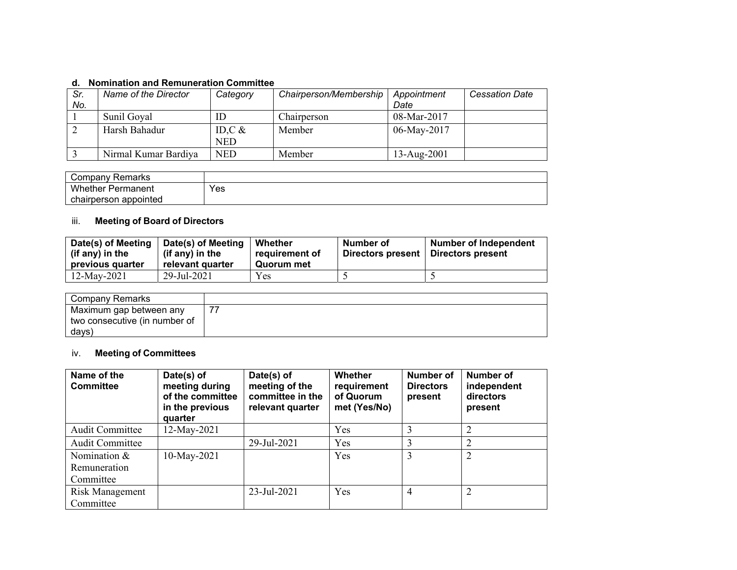## **d. Nomination and Remuneration Committee**

| u.<br><u>NUMINIANUM ANU INGINUMGLANUM UUMININIUGE</u> |     |                      |            |                        |               |                       |  |
|-------------------------------------------------------|-----|----------------------|------------|------------------------|---------------|-----------------------|--|
|                                                       | Sr. | Name of the Director | Category   | Chairperson/Membership | Appointment   | <b>Cessation Date</b> |  |
|                                                       | No. |                      |            |                        | Date          |                       |  |
|                                                       |     | Sunil Goyal          | ID         | Chairperson            | $08-Mar-2017$ |                       |  |
|                                                       |     | Harsh Bahadur        | ID,C $\&$  | Member                 | 06-May-2017   |                       |  |
|                                                       |     |                      | <b>NED</b> |                        |               |                       |  |
|                                                       |     | Nirmal Kumar Bardiya | <b>NED</b> | Member                 | 13-Aug-2001   |                       |  |

| Remarks<br>ごompanv    |     |
|-----------------------|-----|
| Whether<br>Permanent  | Yes |
| chairperson appointed |     |

# iii. **Meeting of Board of Directors**

| Date(s) of Meeting<br>$\vert$ (if any) in the<br>previous quarter | Date(s) of Meeting<br>(if any) in the<br>relevant quarter | Whether<br>requirement of<br>Quorum met | Number of<br>Directors present | <b>Number of Independent</b><br>Directors present |
|-------------------------------------------------------------------|-----------------------------------------------------------|-----------------------------------------|--------------------------------|---------------------------------------------------|
| 12-May-2021                                                       | 29-Jul-2021                                               | Yes                                     |                                |                                                   |

| Company Remarks               |  |
|-------------------------------|--|
| Maximum gap between any       |  |
| two consecutive (in number of |  |
| days)                         |  |

# iv. **Meeting of Committees**

| Name of the<br><b>Committee</b>             | Date(s) of<br>meeting during<br>of the committee<br>in the previous<br>quarter | Date(s) of<br>meeting of the<br>committee in the<br>relevant quarter | Whether<br>requirement<br>of Quorum<br>met (Yes/No) | Number of<br><b>Directors</b><br>present | Number of<br>independent<br>directors<br>present |
|---------------------------------------------|--------------------------------------------------------------------------------|----------------------------------------------------------------------|-----------------------------------------------------|------------------------------------------|--------------------------------------------------|
| <b>Audit Committee</b>                      | 12-May-2021                                                                    |                                                                      | Yes                                                 |                                          | 2                                                |
| <b>Audit Committee</b>                      |                                                                                | 29-Jul-2021                                                          | Yes                                                 | 3                                        | 2                                                |
| Nomination $&$<br>Remuneration<br>Committee | 10-May-2021                                                                    |                                                                      | Yes                                                 | 3                                        | 2                                                |
| Risk Management<br>Committee                |                                                                                | 23-Jul-2021                                                          | Yes                                                 | 4                                        | 2                                                |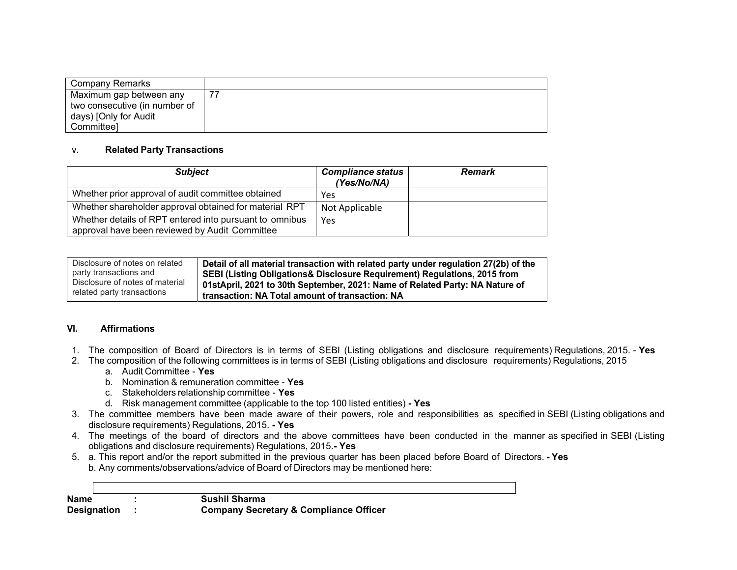| Company Remarks               |  |
|-------------------------------|--|
| Maximum gap between any       |  |
| two consecutive (in number of |  |
| days) [Only for Audit         |  |
| Committee]                    |  |

#### v.**Related Party Transactions**

| <b>Subject</b>                                                                                            | <b>Compliance status</b><br>(Yes/No/NA) | <b>Remark</b> |
|-----------------------------------------------------------------------------------------------------------|-----------------------------------------|---------------|
| Whether prior approval of audit committee obtained                                                        | Yes                                     |               |
| Whether shareholder approval obtained for material RPT                                                    | Not Applicable                          |               |
| Whether details of RPT entered into pursuant to omnibus<br>approval have been reviewed by Audit Committee | Yes                                     |               |

| Disclosure of notes on related  | Detail of all material transaction with related party under regulation 27(2b) of the |
|---------------------------------|--------------------------------------------------------------------------------------|
| party transactions and          | SEBI (Listing Obligations & Disclosure Requirement) Regulations, 2015 from           |
| Disclosure of notes of material | 01stApril, 2021 to 30th September, 2021: Name of Related Party: NA Nature of         |
| related party transactions      | transaction: NA Total amount of transaction: NA                                      |

# **VI. Affirmations**

 $\Gamma$ 

- 1. The composition of Board of Directors is in terms of SEBI (Listing obligations and disclosure requirements) Regulations, 2015. **Yes**
- 2. The composition of the following committees is in terms of SEBI (Listing obligations and disclosure requirements) Regulations, 2015
	- a. Audit Committee **Yes**
	- b. Nomination & remuneration committee **Yes**
	- c. Stakeholders relationship committee **Yes**
	- d. Risk management committee (applicable to the top 100 listed entities)  **Yes**
- 3. The committee members have been made aware of their powers, role and responsibilities as specified in SEBI (Listing obligations and disclosure requirements) Regulations, 2015. **- Yes**
- 4. The meetings of the board of directors and the above committees have been conducted in the manner as specified in SEBI (Listing obligations and disclosure requirements) Regulations, 2015.**- Yes**
- 5. a. This report and/or the report submitted in the previous quarter has been placed before Board of Directors.  **Yes** b. Any comments/observations/advice of Board of Directors may be mentioned here:

| <b>Name</b>        | <b>Sushil Sharma</b>                              |
|--------------------|---------------------------------------------------|
| <b>Designation</b> | <b>Company Secretary &amp; Compliance Officer</b> |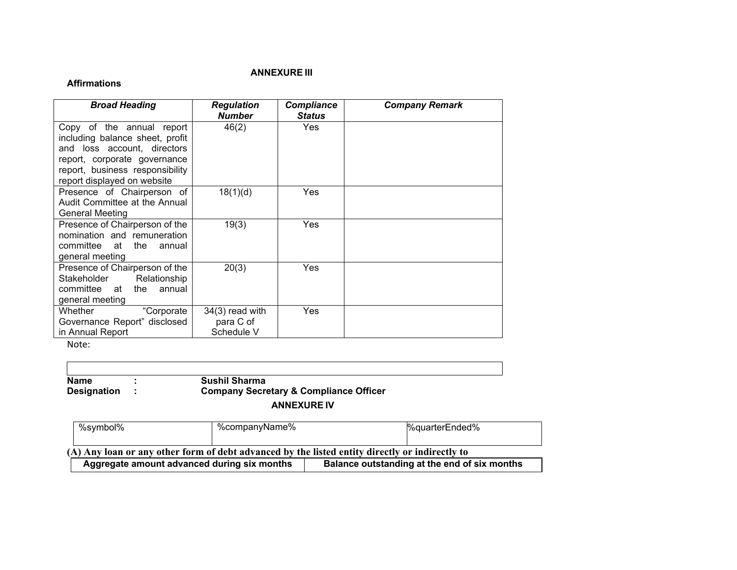#### *ANNEXURE III*

#### **Affirmations**

| <b>Broad Heading</b>                                                                                                                                                                          | <b>Regulation</b><br><b>Number</b>           | <b>Compliance</b><br><b>Status</b> | <b>Company Remark</b> |
|-----------------------------------------------------------------------------------------------------------------------------------------------------------------------------------------------|----------------------------------------------|------------------------------------|-----------------------|
| Copy of the annual report<br>including balance sheet, profit<br>and loss account, directors<br>report, corporate governance<br>report, business responsibility<br>report displayed on website | 46(2)                                        | Yes                                |                       |
| Presence of Chairperson of<br>Audit Committee at the Annual<br><b>General Meeting</b>                                                                                                         | 18(1)(d)                                     | Yes                                |                       |
| Presence of Chairperson of the<br>nomination and remuneration<br>committee at the<br>annual<br>general meeting                                                                                | 19(3)                                        | Yes                                |                       |
| Presence of Chairperson of the<br>Stakeholder<br>Relationship<br>committee at<br>the<br>annual<br>general meeting                                                                             | 20(3)                                        | Yes                                |                       |
| "Corporate<br>Whether<br>Governance Report" disclosed<br>in Annual Report                                                                                                                     | $34(3)$ read with<br>para C of<br>Schedule V | Yes                                |                       |

Note:

**Name :<br>Designation : Sushil Sharma Company Secretary & Compliance Officer** 

# **ANNEXURE IV**

| %symbol%                                                                                       | %companyName% |  | %quarterEnded%                               |  |  |
|------------------------------------------------------------------------------------------------|---------------|--|----------------------------------------------|--|--|
|                                                                                                |               |  |                                              |  |  |
| (A) Any loan or any other form of debt advanced by the listed entity directly or indirectly to |               |  |                                              |  |  |
| Aggregate amount advanced during six months                                                    |               |  | Balance outstanding at the end of six months |  |  |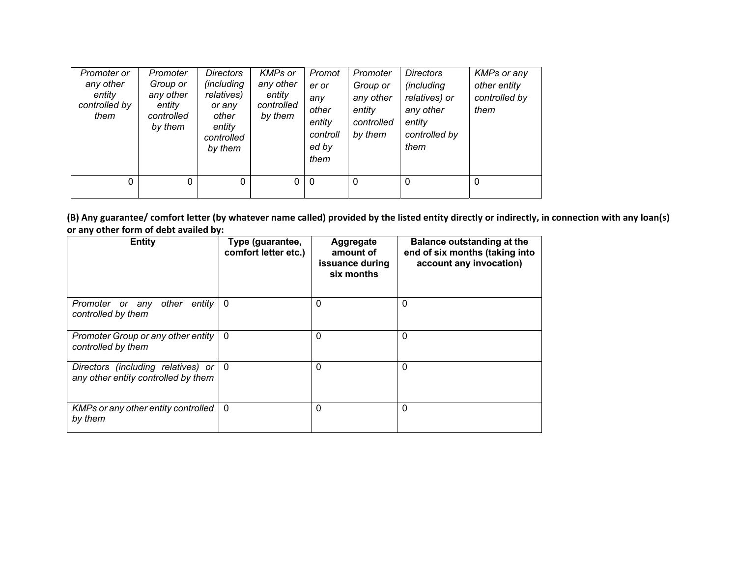| Promoter or<br>any other<br>entity<br>controlled by<br>them | Promoter<br>Group or<br>any other<br>entity<br>controlled<br>by them | <b>Directors</b><br>(including<br>relatives)<br>or any<br>other<br>entity<br>controlled<br>by them | <b>KMPs or</b><br>any other<br>entity<br>controlled<br>by them | Promot<br>er or<br>any<br>other<br>entity<br>controll<br>ed by<br>them | Promoter<br>Group or<br>any other<br>entity<br>controlled<br>by them | <b>Directors</b><br><i>(including</i><br>relatives) or<br>any other<br>entity<br>controlled by<br>them | <b>KMPs or any</b><br>other entity<br>controlled by<br>them |
|-------------------------------------------------------------|----------------------------------------------------------------------|----------------------------------------------------------------------------------------------------|----------------------------------------------------------------|------------------------------------------------------------------------|----------------------------------------------------------------------|--------------------------------------------------------------------------------------------------------|-------------------------------------------------------------|
| 0                                                           | 0                                                                    | 0                                                                                                  | 0                                                              | $\overline{0}$                                                         | $\Omega$                                                             | $\mathbf{0}$                                                                                           | 0                                                           |

(B) Any guarantee/ comfort letter (by whatever name called) provided by the listed entity directly or indirectly, in connection with any loan(s) **or any other form of debt availed by:**

| <b>Entity</b>                                                             | Type (guarantee,<br>comfort letter etc.) | Aggregate<br>amount of<br>issuance during<br>six months | Balance outstanding at the<br>end of six months (taking into<br>account any invocation) |
|---------------------------------------------------------------------------|------------------------------------------|---------------------------------------------------------|-----------------------------------------------------------------------------------------|
| Promoter or any other entity<br>controlled by them                        | 0                                        | $\Omega$                                                | 0                                                                                       |
| Promoter Group or any other entity<br>controlled by them                  | $\mathbf 0$                              | $\mathbf{0}$                                            | 0                                                                                       |
| Directors (including relatives) or<br>any other entity controlled by them | $\mathbf{0}$                             | $\Omega$                                                | 0                                                                                       |
| KMPs or any other entity controlled<br>by them                            | $\mathbf{0}$                             | $\Omega$                                                | 0                                                                                       |